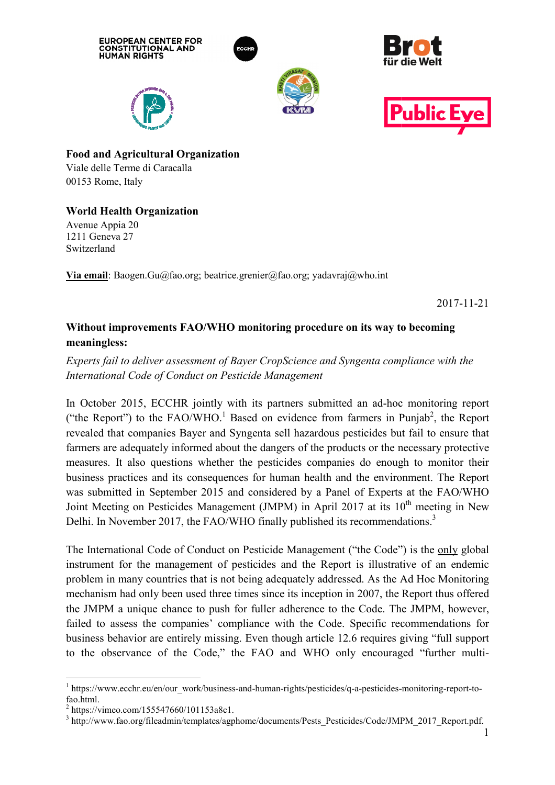









**Food and Agricultural Organization** Viale delle Terme di Caracalla

**World Health Organization**

Avenue Appia 20 1211 Geneva 27 Switzerland

00153 Rome, Italy

**Via email**: Baogen.Gu@fao.org; beatrice.grenier@fao.org; yadavraj@who.int

2017-11-21

## **Without improvements FAO/WHO monitoring procedure on its way to becom becoming meaningless:**

*Experts fail to deliver assessment of Bayer CropScience and Syngenta compliance with the International Code of Conduct on Pesticide Management*

In October 2015, ECCHR jointly with its partners submitted an ad-hoc monitoring report ("the Report") to the  $FAO/WHO$ <sup>1</sup> Based on evidence from farmers in Punjab<sup>2</sup>, the Report revealed that companies Bayer and Syngenta sell hazardous pesticides but fail to ensure that farmers are adequately informed about the dangers of the products or the necessary protective measures. It also questions whether farmers are adequately informed about the dangers of the products or the necessary protective measures. It also questions whether the pesticides companies do enough to monitor their business practices and its consequences for human health and the environment. was submitted in September 2015 and considered by a Panel of Experts at the FAO/WHO was submitted in September 2015 and considered by a Panel of Experts at the FAO/WHO<br>Joint Meeting on Pesticides Management (JMPM) in April 2017 at its 10<sup>th</sup> meeting in New Delhi. In November 2017, the FAO/WHO finally published its recommendations.<sup>3</sup>

The International Code of Conduct on Pesticide Management ("the Code") is the only global instrument for the management of pesticides and the Report is illustrative of an endemic problem in many countries that is not being adequately addressed. As the Ad Hoc Monitoring<br>mechanism had only been used three times since its inception in 2007, the Report thus offered<br>the JMPM a unique chance to push for mechanism had only been used three times since its inception in 2007, the Report thus offered the JMPM a unique chance to push for fuller adherence to the Code. The JMPM failed to assess the companies' compliance with the Code. Specific recommendations for business behavior are entirely missing. Even though article 12.6 requires giving "full support business behavior are entirely missing. Even though article 12.6 requires giving " to the observance of the Code," the FAO and WHO only encouraged "further multi-

 $\overline{a}$ 

 $\frac{1}{1}$  https://www.ecchr.eu/en/our\_work/business-and-human-rights/pesticides/q-a-pesticides-monitoring-report-tofao.html.

 $^{2}$  https://vimeo.com/155547660/101153a8c1.

<sup>&</sup>lt;sup>3</sup> http://www.fao.org/fileadmin/templates/agphome/documents/Pests\_Pesticides/Code/JMPM\_2017\_Report.pdf.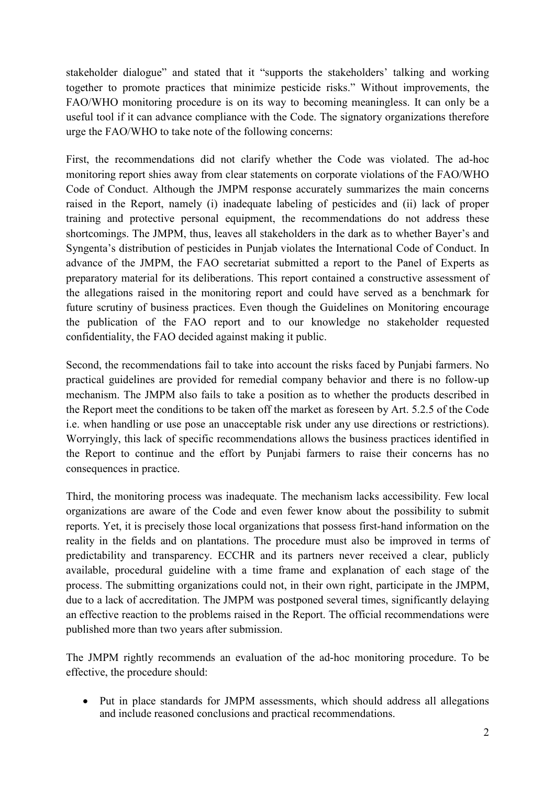stakeholder dialogue" and stated that it "supports the stakeholders' talking and working together to promote practices that minimize pesticide risks." Without improvements, the FAO/WHO monitoring procedure is on its way to becoming meaningless. It can only be a useful tool if it can advance compliance with the Code. The signatory organizations therefore urge the FAO/WHO to take note of the following concerns:

First, the recommendations did not clarify whether the Code was violated. The ad-hoc monitoring report shies away from clear statements on corporate violations of the FAO/WHO Code of Conduct. Although the JMPM response accurately summarizes the main concerns raised in the Report, namely (i) inadequate labeling of pesticides and (ii) lack of proper training and protective personal equipment, the recommendations do not address these shortcomings. The JMPM, thus, leaves all stakeholders in the dark as to whether Bayer's and Syngenta's distribution of pesticides in Punjab violates the International Code of Conduct. In advance of the JMPM, the FAO secretariat submitted a report to the Panel of Experts as preparatory material for its deliberations. This report contained a constructive assessment of the allegations raised in the monitoring report and could have served as a benchmark for future scrutiny of business practices. Even though the Guidelines on Monitoring encourage the publication of the FAO report and to our knowledge no stakeholder requested confidentiality, the FAO decided against making it public.

Second, the recommendations fail to take into account the risks faced by Punjabi farmers. No practical guidelines are provided for remedial company behavior and there is no follow-up mechanism. The JMPM also fails to take a position as to whether the products described in the Report meet the conditions to be taken off the market as foreseen by Art. 5.2.5 of the Code i.e. when handling or use pose an unacceptable risk under any use directions or restrictions). Worryingly, this lack of specific recommendations allows the business practices identified in the Report to continue and the effort by Punjabi farmers to raise their concerns has no consequences in practice.

Third, the monitoring process was inadequate. The mechanism lacks accessibility. Few local organizations are aware of the Code and even fewer know about the possibility to submit reports. Yet, it is precisely those local organizations that possess first-hand information on the reality in the fields and on plantations. The procedure must also be improved in terms of predictability and transparency. ECCHR and its partners never received a clear, publicly available, procedural guideline with a time frame and explanation of each stage of the process. The submitting organizations could not, in their own right, participate in the JMPM, due to a lack of accreditation. The JMPM was postponed several times, significantly delaying an effective reaction to the problems raised in the Report. The official recommendations were published more than two years after submission.

The JMPM rightly recommends an evaluation of the ad-hoc monitoring procedure. To be effective, the procedure should:

• Put in place standards for JMPM assessments, which should address all allegations and include reasoned conclusions and practical recommendations.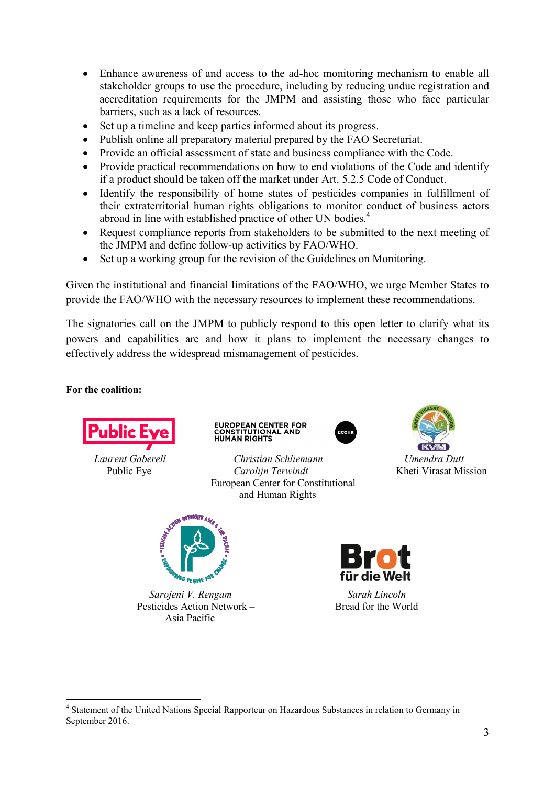- Enhance awareness of and access to the ad-hoc monitoring mechanism to enable all stakeholder groups to use the procedure, including by reducing undue registration and accreditation requirements for the JMPM and assisting those who face particular barriers, such as a lack of resources.
- Set up a timeline and keep parties informed about its progress.
- Publish online all preparatory material prepared by the FAO Secretariat.
- Provide an official assessment of state and business compliance with the Code.
- Provide practical recommendations on how to end violations of the Code and identify if a product should be taken off the market under Art.  $5.2.5$  Code of Conduct.
- Identify the responsibility of home states of pesticides companies in fulfillment of their extraterritorial human rights obligations to monitor conduct of business actors abroad in line with established practice of other UN bodies.<sup>4</sup> abroad in line with established practice of other UN bodies.<sup>4</sup>
- Request compliance reports from stakeholders to be submitted to the next meeting of the JMPM and define follow-up activities by FAO/WHO.
- Set up a working group for the revision of the Guidelines on Monitoring.<br>
en the institutional and financial limitations of the FAO/WHO, we urge Mer-

Given the institutional and financial limitations of the FAO/WHO, we urge Member States to provide the FAO/WHO with the necessary resources to implement these recommendations.

The signatories call on the JMPM to publicly respond to this open letter to clarify what its powers and capabilities are and how it plans to implement the necessary changes to effectively address the widespread mismanagement of pesticides.

 *Christian Schliemann* 

European Center for Constitutional and Human Rights

**For the coalition:** 

 $\overline{a}$ 



 *Laurent Gaberell*  Public Eye





*Carolijn Terwindt* Kheti Virasat Mission  *Umendra Dutt* 



*Sarojeni V. Rengam* Pesticides Action Network Asia Pacific



 *Sarah Lincoln n*– Bread for the World

<sup>&</sup>lt;sup>4</sup> Statement of the United Nations Special Rapporteur on Hazardous Substances in relation to Germany in September 2016.